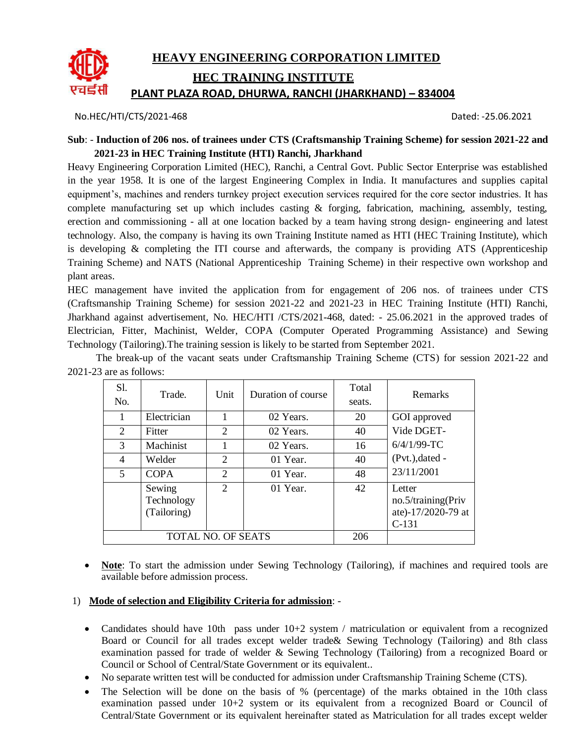

No.HEC/HTI/CTS/2021-468 Dated: -25.06.2021

#### **Sub**: - **Induction of 206 nos. of trainees under CTS (Craftsmanship Training Scheme) for session 2021-22 and 2021-23 in HEC Training Institute (HTI) Ranchi, Jharkhand**

Heavy Engineering Corporation Limited (HEC), Ranchi, a Central Govt. Public Sector Enterprise was established in the year 1958. It is one of the largest Engineering Complex in India. It manufactures and supplies capital equipment's, machines and renders turnkey project execution services required for the core sector industries. It has complete manufacturing set up which includes casting  $\&$  forging, fabrication, machining, assembly, testing, erection and commissioning - all at one location backed by a team having strong design- engineering and latest technology. Also, the company is having its own Training Institute named as HTI (HEC Training Institute), which is developing & completing the ITI course and afterwards, the company is providing ATS (Apprenticeship Training Scheme) and NATS (National Apprenticeship Training Scheme) in their respective own workshop and plant areas.

HEC management have invited the application from for engagement of 206 nos. of trainees under CTS (Craftsmanship Training Scheme) for session 2021-22 and 2021-23 in HEC Training Institute (HTI) Ranchi, Jharkhand against advertisement, No. HEC/HTI /CTS/2021-468, dated: - 25.06.2021 in the approved trades of Electrician, Fitter, Machinist, Welder, COPA (Computer Operated Programming Assistance) and Sewing Technology (Tailoring).The training session is likely to be started from September 2021.

The break-up of the vacant seats under Craftsmanship Training Scheme (CTS) for session 2021-22 and 2021-23 are as follows:

| <b>S</b> 1.<br>No.        | Trade.                              | Unit                        | Duration of course | Total<br>seats. | <b>Remarks</b>                                                |
|---------------------------|-------------------------------------|-----------------------------|--------------------|-----------------|---------------------------------------------------------------|
|                           | Electrician                         |                             | 02 Years.          | 20              | GOI approved                                                  |
| 2                         | Fitter                              | 2                           | 02 Years.          | 40              | Vide DGET-                                                    |
| 3                         | Machinist                           |                             | 02 Years.          | 16              | $6/4/1/99$ -TC                                                |
| 4                         | Welder                              | $\mathfrak{D}$              | 01 Year.           | 40              | $(Pvt.)$ , dated -                                            |
| 5                         | <b>COPA</b>                         | 2                           | 01 Year.           | 48              | 23/11/2001                                                    |
|                           | Sewing<br>Technology<br>(Tailoring) | $\mathcal{D}_{\mathcal{L}}$ | 01 Year.           | 42              | Letter<br>no.5/training(Priv<br>ate)-17/2020-79 at<br>$C-131$ |
| <b>TOTAL NO. OF SEATS</b> |                                     |                             | 206                |                 |                                                               |

 **Note**: To start the admission under Sewing Technology (Tailoring), if machines and required tools are available before admission process.

#### 1) **Mode of selection and Eligibility Criteria for admission**: -

- Candidates should have 10th pass under  $10+2$  system / matriculation or equivalent from a recognized Board or Council for all trades except welder trade& Sewing Technology (Tailoring) and 8th class examination passed for trade of welder & Sewing Technology (Tailoring) from a recognized Board or Council or School of Central/State Government or its equivalent..
- No separate written test will be conducted for admission under Craftsmanship Training Scheme (CTS).
- The Selection will be done on the basis of % (percentage) of the marks obtained in the 10th class examination passed under 10+2 system or its equivalent from a recognized Board or Council of Central/State Government or its equivalent hereinafter stated as Matriculation for all trades except welder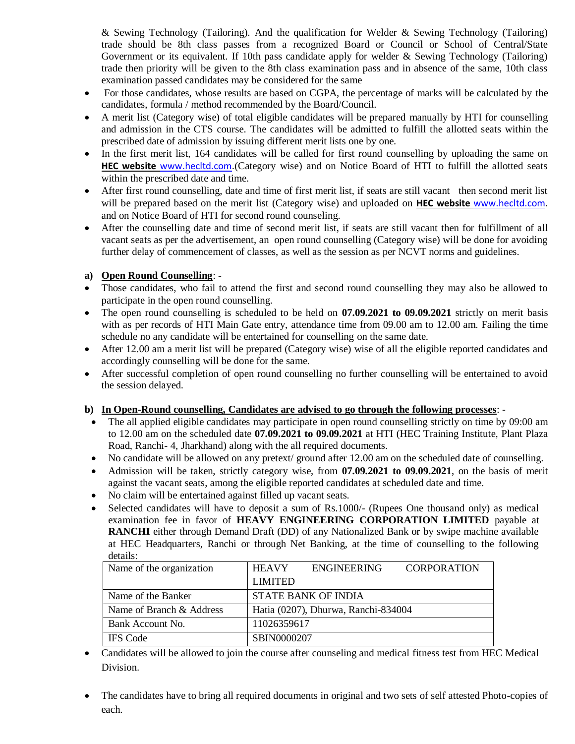& Sewing Technology (Tailoring). And the qualification for Welder & Sewing Technology (Tailoring) trade should be 8th class passes from a recognized Board or Council or School of Central/State Government or its equivalent. If 10th pass candidate apply for welder & Sewing Technology (Tailoring) trade then priority will be given to the 8th class examination pass and in absence of the same, 10th class examination passed candidates may be considered for the same

- For those candidates, whose results are based on CGPA, the percentage of marks will be calculated by the candidates, formula / method recommended by the Board/Council.
- A merit list (Category wise) of total eligible candidates will be prepared manually by HTI for counselling and admission in the CTS course. The candidates will be admitted to fulfill the allotted seats within the prescribed date of admission by issuing different merit lists one by one.
- In the first merit list, 164 candidates will be called for first round counselling by uploading the same on **HEC website** [www.hecltd.com.](http://www.hecltd.com/)(Category wise) and on Notice Board of HTI to fulfill the allotted seats within the prescribed date and time.
- After first round counselling, date and time of first merit list, if seats are still vacant then second merit list will be prepared based on the merit list (Category wise) and uploaded on **HEC website** [www.hecltd.com.](http://www.hecltd.com/) and on Notice Board of HTI for second round counseling.
- After the counselling date and time of second merit list, if seats are still vacant then for fulfillment of all vacant seats as per the advertisement, an open round counselling (Category wise) will be done for avoiding further delay of commencement of classes, as well as the session as per NCVT norms and guidelines.

#### **a) Open Round Counselling**: -

- Those candidates, who fail to attend the first and second round counselling they may also be allowed to participate in the open round counselling.
- The open round counselling is scheduled to be held on **07.09.2021 to 09.09.2021** strictly on merit basis with as per records of HTI Main Gate entry, attendance time from 09.00 am to 12.00 am. Failing the time schedule no any candidate will be entertained for counselling on the same date.
- After 12.00 am a merit list will be prepared (Category wise) wise of all the eligible reported candidates and accordingly counselling will be done for the same.
- After successful completion of open round counselling no further counselling will be entertained to avoid the session delayed.

#### **b) In Open-Round counselling, Candidates are advised to go through the following processes**: -

- The all applied eligible candidates may participate in open round counselling strictly on time by 09:00 am to 12.00 am on the scheduled date **07.09.2021 to 09.09.2021** at HTI (HEC Training Institute, Plant Plaza Road, Ranchi- 4, Jharkhand) along with the all required documents.
- No candidate will be allowed on any pretext/ ground after 12.00 am on the scheduled date of counselling.
- Admission will be taken, strictly category wise, from **07.09.2021 to 09.09.2021**, on the basis of merit against the vacant seats, among the eligible reported candidates at scheduled date and time.
- No claim will be entertained against filled up vacant seats.
- Selected candidates will have to deposit a sum of Rs.1000/- (Rupees One thousand only) as medical examination fee in favor of **HEAVY ENGINEERING CORPORATION LIMITED** payable at **RANCHI** either through Demand Draft (DD) of any Nationalized Bank or by swipe machine available at HEC Headquarters, Ranchi or through Net Banking, at the time of counselling to the following details:

| Name of the organization | <b>HEAVY</b>                        | <b>ENGINEERING</b>  | <b>CORPORATION</b> |  |
|--------------------------|-------------------------------------|---------------------|--------------------|--|
|                          | <b>LIMITED</b>                      |                     |                    |  |
| Name of the Banker       |                                     | STATE BANK OF INDIA |                    |  |
| Name of Branch & Address | Hatia (0207), Dhurwa, Ranchi-834004 |                     |                    |  |
| Bank Account No.         | 11026359617                         |                     |                    |  |
| <b>IFS</b> Code          | SBIN0000207                         |                     |                    |  |

- Candidates will be allowed to join the course after counseling and medical fitness test from HEC Medical Division.
- The candidates have to bring all required documents in original and two sets of self attested Photo-copies of each.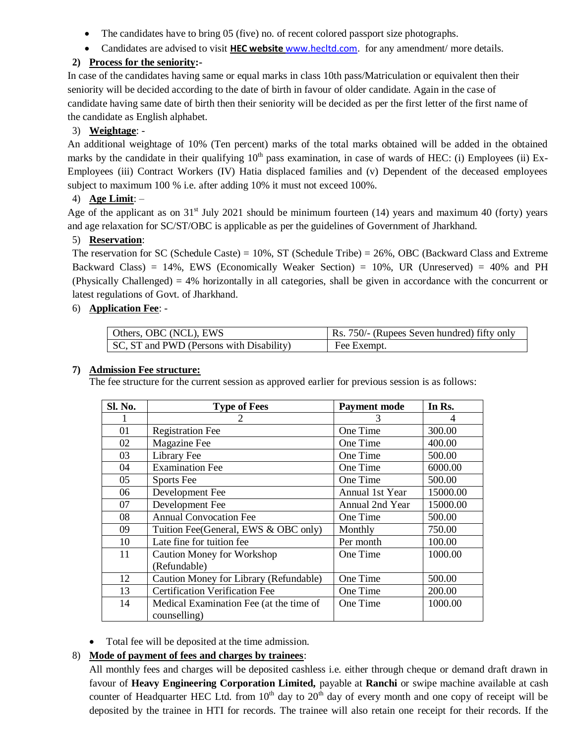- The candidates have to bring 05 (five) no. of recent colored passport size photographs.
- Candidates are advised to visit **HEC website** [www.hecltd.com.](http://www.hecltd.com/) for any amendment/ more details.

# **2) Process for the seniority:-**

In case of the candidates having same or equal marks in class 10th pass/Matriculation or equivalent then their seniority will be decided according to the date of birth in favour of older candidate. Again in the case of candidate having same date of birth then their seniority will be decided as per the first letter of the first name of the candidate as English alphabet.

## 3) **Weightage**: -

An additional weightage of 10% (Ten percent) marks of the total marks obtained will be added in the obtained marks by the candidate in their qualifying  $10<sup>th</sup>$  pass examination, in case of wards of HEC: (i) Employees (ii) Ex-Employees (iii) Contract Workers (IV) Hatia displaced families and (v) Dependent of the deceased employees subject to maximum 100 % i.e. after adding 10% it must not exceed 100%.

## 4) **Age Limit**: –

Age of the applicant as on  $31<sup>st</sup>$  July 2021 should be minimum fourteen (14) years and maximum 40 (forty) years and age relaxation for SC/ST/OBC is applicable as per the guidelines of Government of Jharkhand.

## 5) **Reservation**:

The reservation for SC (Schedule Caste) = 10%, ST (Schedule Tribe) = 26%, OBC (Backward Class and Extreme Backward Class) = 14%, EWS (Economically Weaker Section) = 10%, UR (Unreserved) = 40% and PH (Physically Challenged) = 4% horizontally in all categories, shall be given in accordance with the concurrent or latest regulations of Govt. of Jharkhand.

## 6) **Application Fee**: -

| Others, OBC (NCL), EWS                   | Rs. 750/- (Rupees Seven hundred) fifty only |
|------------------------------------------|---------------------------------------------|
| SC, ST and PWD (Persons with Disability) | Fee Exempt.                                 |

#### **7) Admission Fee structure:**

The fee structure for the current session as approved earlier for previous session is as follows:

| Sl. No. | <b>Type of Fees</b>                     | <b>Payment mode</b> | In Rs.   |
|---------|-----------------------------------------|---------------------|----------|
|         |                                         | 3                   | 4        |
| 01      | <b>Registration Fee</b>                 | One Time            | 300.00   |
| 02      | Magazine Fee                            | One Time            | 400.00   |
| 03      | Library Fee                             | One Time            | 500.00   |
| 04      | <b>Examination Fee</b>                  | One Time            | 6000.00  |
| 05      | Sports Fee                              | One Time            | 500.00   |
| 06      | Development Fee                         | Annual 1st Year     | 15000.00 |
| 07      | Development Fee                         | Annual 2nd Year     | 15000.00 |
| 08      | <b>Annual Convocation Fee</b>           | One Time            | 500.00   |
| 09      | Tuition Fee(General, EWS & OBC only)    | Monthly             | 750.00   |
| 10      | Late fine for tuition fee.              | Per month           | 100.00   |
| 11      | <b>Caution Money for Workshop</b>       | One Time            | 1000.00  |
|         | (Refundable)                            |                     |          |
| 12      | Caution Money for Library (Refundable)  | One Time            | 500.00   |
| 13      | <b>Certification Verification Fee</b>   | One Time            | 200.00   |
| 14      | Medical Examination Fee (at the time of | One Time            | 1000.00  |
|         | counselling)                            |                     |          |

• Total fee will be deposited at the time admission.

## 8) **Mode of payment of fees and charges by trainees**:

All monthly fees and charges will be deposited cashless i.e. either through cheque or demand draft drawn in favour of **Heavy Engineering Corporation Limited,** payable at **Ranchi** or swipe machine available at cash counter of Headquarter HEC Ltd. from  $10<sup>th</sup>$  day to  $20<sup>th</sup>$  day of every month and one copy of receipt will be deposited by the trainee in HTI for records. The trainee will also retain one receipt for their records. If the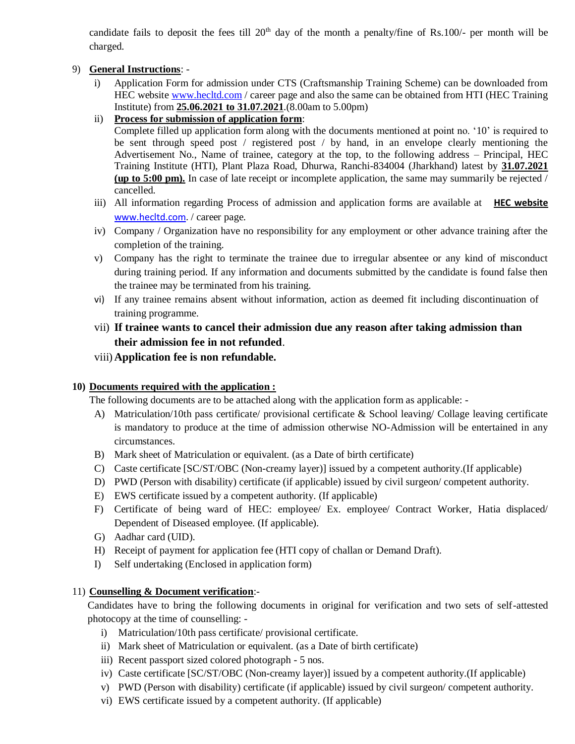candidate fails to deposit the fees till  $20<sup>th</sup>$  day of the month a penalty/fine of Rs.100/- per month will be charged.

### 9) **General Instructions**: -

- i) Application Form for admission under CTS (Craftsmanship Training Scheme) can be downloaded from HEC website [www.hecltd.com](http://www.hecltd.com/) / career page and also the same can be obtained from HTI (HEC Training Institute) from **25.06.2021 to 31.07.2021**.(8.00am to 5.00pm)
- ii) **Process for submission of application form**:

Complete filled up application form along with the documents mentioned at point no. '10' is required to be sent through speed post / registered post / by hand, in an envelope clearly mentioning the Advertisement No., Name of trainee, category at the top, to the following address – Principal, HEC Training Institute (HTI), Plant Plaza Road, Dhurwa, Ranchi-834004 (Jharkhand) latest by **31.07.2021 (up to 5:00 pm).** In case of late receipt or incomplete application, the same may summarily be rejected / cancelled.

- iii) All information regarding Process of admission and application forms are available at **HEC website** [www.hecltd.com.](http://www.hecltd.com/) / career page.
- iv) Company / Organization have no responsibility for any employment or other advance training after the completion of the training.
- v) Company has the right to terminate the trainee due to irregular absentee or any kind of misconduct during training period. If any information and documents submitted by the candidate is found false then the trainee may be terminated from his training.
- vi) If any trainee remains absent without information, action as deemed fit including discontinuation of training programme.
- vii) **If trainee wants to cancel their admission due any reason after taking admission than their admission fee in not refunded**.
- viii) **Application fee is non refundable.**

#### **10) Documents required with the application :**

The following documents are to be attached along with the application form as applicable: -

- A) Matriculation/10th pass certificate/ provisional certificate & School leaving/ Collage leaving certificate is mandatory to produce at the time of admission otherwise NO-Admission will be entertained in any circumstances.
- B) Mark sheet of Matriculation or equivalent. (as a Date of birth certificate)
- C) Caste certificate [SC/ST/OBC (Non-creamy layer)] issued by a competent authority.(If applicable)
- D) PWD (Person with disability) certificate (if applicable) issued by civil surgeon/ competent authority.
- E) EWS certificate issued by a competent authority. (If applicable)
- F) Certificate of being ward of HEC: employee/ Ex. employee/ Contract Worker, Hatia displaced/ Dependent of Diseased employee. (If applicable).
- G) Aadhar card (UID).
- H) Receipt of payment for application fee (HTI copy of challan or Demand Draft).
- I) Self undertaking (Enclosed in application form)

## 11) **Counselling & Document verification**:-

Candidates have to bring the following documents in original for verification and two sets of self-attested photocopy at the time of counselling: -

- i) Matriculation/10th pass certificate/ provisional certificate.
- ii) Mark sheet of Matriculation or equivalent. (as a Date of birth certificate)
- iii) Recent passport sized colored photograph 5 nos.
- iv) Caste certificate [SC/ST/OBC (Non-creamy layer)] issued by a competent authority.(If applicable)
- v) PWD (Person with disability) certificate (if applicable) issued by civil surgeon/ competent authority.
- vi) EWS certificate issued by a competent authority. (If applicable)